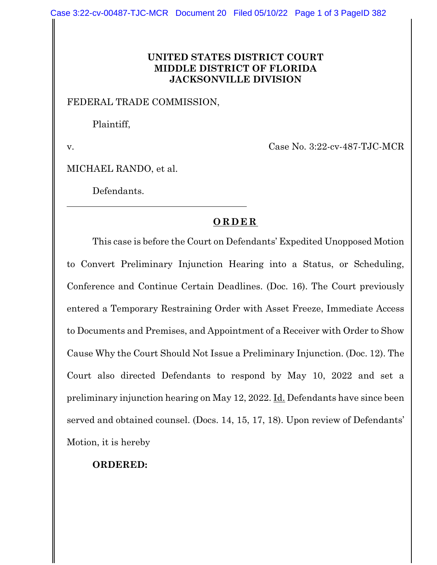## **UNITED STATES DISTRICT COURT MIDDLE DISTRICT OF FLORIDA JACKSONVILLE DIVISION**

## FEDERAL TRADE COMMISSION,

Plaintiff,

v. Case No. 3:22-cv-487-TJC-MCR

MICHAEL RANDO, et al.

Defendants.

## **ORDER**

This case is before the Court on Defendants' Expedited Unopposed Motion to Convert Preliminary Injunction Hearing into a Status, or Scheduling, Conference and Continue Certain Deadlines. (Doc. 16). The Court previously entered a Temporary Restraining Order with Asset Freeze, Immediate Access to Documents and Premises, and Appointment of a Receiver with Order to Show Cause Why the Court Should Not Issue a Preliminary Injunction. (Doc. 12). The Court also directed Defendants to respond by May 10, 2022 and set a preliminary injunction hearing on May 12, 2022. Id. Defendants have since been served and obtained counsel. (Docs. 14, 15, 17, 18). Upon review of Defendants' Motion, it is hereby

## **ORDERED:**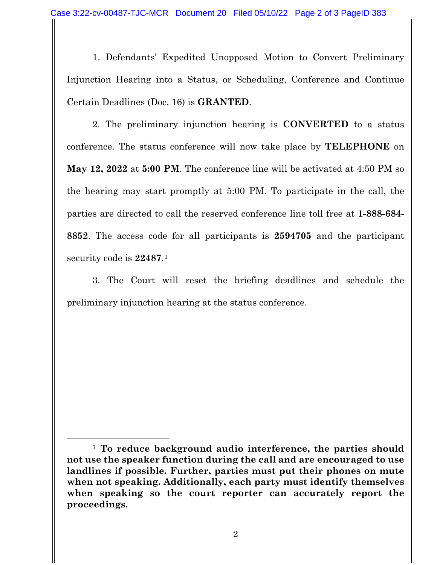1. Defendants' Expedited Unopposed Motion to Convert Preliminary Injunction Hearing into a Status, or Scheduling, Conference and Continue Certain Deadlines (Doc. 16) is **GRANTED**.

2. The preliminary injunction hearing is **CONVERTED** to a status conference. The status conference will now take place by **TELEPHONE** on **May 12, 2022** at **5:00 PM**. The conference line will be activated at 4:50 PM so the hearing may start promptly at 5:00 PM. To participate in the call, the parties are directed to call the reserved conference line toll free at **1-888-684- 8852**. The access code for all participants is **2594705** and the participant security code is **22487**.[1](#page-1-0)

3. The Court will reset the briefing deadlines and schedule the preliminary injunction hearing at the status conference.

<span id="page-1-0"></span><sup>1</sup> **To reduce background audio interference, the parties should not use the speaker function during the call and are encouraged to use landlines if possible. Further, parties must put their phones on mute when not speaking. Additionally, each party must identify themselves when speaking so the court reporter can accurately report the proceedings.**